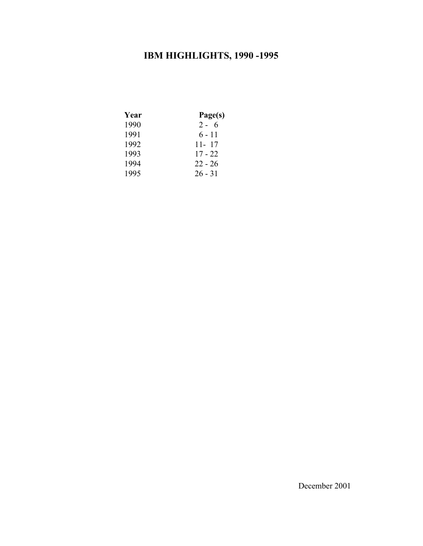# **IBM HIGHLIGHTS, 1990 -1995**

| Year | Page(s)   |
|------|-----------|
| 1990 | $2 - 6$   |
| 1991 | $6 - 11$  |
| 1992 | $11 - 17$ |
| 1993 | $17 - 22$ |
| 1994 | $22 - 26$ |
| 1995 | $26 - 31$ |
|      |           |

December 2001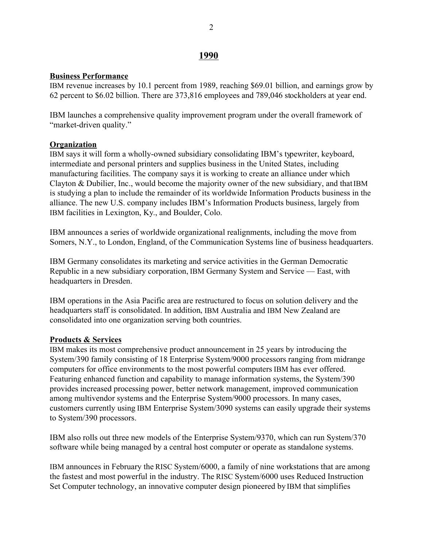# **1990**

#### **Business Performance**

IBM revenue increases by 10.1 percent from 1989, reaching \$69.01 billion, and earnings grow by 62 percent to \$6.02 billion. There are 373,816 employees and 789,046 stockholders at year end.

IBM launches a comprehensive quality improvement program under the overall framework of "market-driven quality."

# **Organization**

IBM says it will form a wholly-owned subsidiary consolidating IBM's typewriter, keyboard, intermediate and personal printers and supplies business in the United States, including manufacturing facilities. The company says it is working to create an alliance under which Clayton & Dubilier, Inc., would become the majority owner of the new subsidiary, and that IBM is studying a plan to include the remainder of its worldwide Information Products business in the alliance. The new U.S. company includes IBM's Information Products business, largely from IBM facilities in Lexington, Ky., and Boulder, Colo.

IBM announces a series of worldwide organizational realignments, including the move from Somers, N.Y., to London, England, of the Communication Systems line of business headquarters.

IBM Germany consolidates its marketing and service activities in the German Democratic Republic in a new subsidiary corporation, IBM Germany System and Service  $-$  East, with headquarters in Dresden.

IBM operations in the Asia Pacific area are restructured to focus on solution delivery and the headquarters staff is consolidated. In addition, IBM Australia and IBM New Zealand are consolidated into one organization serving both countries.

#### **Products & Services**

IBM makes its most comprehensive product announcement in 25 years by introducing the System/390 family consisting of 18 Enterprise System/9000 processors ranging from midrange computers for office environments to the most powerful computers IBM has ever offered. Featuring enhanced function and capability to manage information systems, the System/390 provides increased processing power, better network management, improved communication among multivendor systems and the Enterprise System/9000 processors. In many cases, customers currently using IBM Enterprise System/3090 systems can easily upgrade their systems to System/390 processors.

IBM also rolls out three new models of the Enterprise System/9370, which can run System/370 software while being managed by a central host computer or operate as standalone systems.

IBM announces in February the RISC System/6000, a family of nine workstations that are among the fastest and most powerful in the industry. The RISC System/6000 uses Reduced Instruction Set Computer technology, an innovative computer design pioneered by IBM that simplifies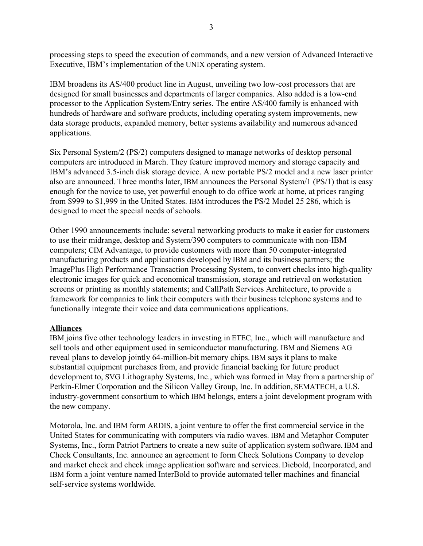processing steps to speed the execution of commands, and a new version of Advanced Interactive Executive, IBM's implementation of the UNIX operating system.

IBM broadens its AS/400 product line in August, unveiling two low-cost processors that are designed for small businesses and departments of larger companies. Also added is a low-end processor to the Application System/Entry series. The entire AS/400 family is enhanced with hundreds of hardware and software products, including operating system improvements, new data storage products, expanded memory, better systems availability and numerous advanced applications.

Six Personal System/2 (PS/2) computers designed to manage networks of desktop personal computers are introduced in March. They feature improved memory and storage capacity and IBM's advanced 3.5-inch disk storage device. A new portable PS/2 model and a new laser printer also are announced. Three months later, IBM announces the Personal System/1 (PS/1) that is easy enough for the novice to use, yet powerful enough to do office work at home, at prices ranging from \$999 to \$1,999 in the United States. IBM introduces the PS/2 Model 25 286, which is designed to meet the special needs of schools.

Other 1990 announcements include: several networking products to make it easier for customers to use their midrange, desktop and System/390 computers to communicate with non-IBM computers; CIM Advantage, to provide customers with more than 50 computer-integrated manufacturing products and applications developed by IBM and its business partners; the ImagePlus High Performance Transaction Processing System, to convert checks into high-quality electronic images for quick and economical transmission, storage and retrieval on workstation screens or printing as monthly statements; and CallPath Services Architecture, to provide a framework for companies to link their computers with their business telephone systems and to functionally integrate their voice and data communications applications.

# **Alliances**

IBM joins five other technology leaders in investing in ETEC, Inc., which will manufacture and sell tools and other equipment used in semiconductor manufacturing. IBM and Siemens AG reveal plans to develop jointly 64-million-bit memory chips. IBM says it plans to make substantial equipment purchases from, and provide financial backing for future product development to, SVG Lithography Systems, Inc., which was formed in May from a partnership of Perkin-Elmer Corporation and the Silicon Valley Group, Inc. In addition, SEMATECH, a U.S. industry-government consortium to which IBM belongs, enters a joint development program with the new company.

Motorola, Inc. and IBM form ARDIS, a joint venture to offer the first commercial service in the United States for communicating with computers via radio waves. IBM and Metaphor Computer Systems, Inc., form Patriot Partners to create a new suite of application system software. IBM and Check Consultants, Inc. announce an agreement to form Check Solutions Company to develop and market check and check image application software and services. Diebold, Incorporated, and IBM form a joint venture named InterBold to provide automated teller machines and financial self-service systems worldwide.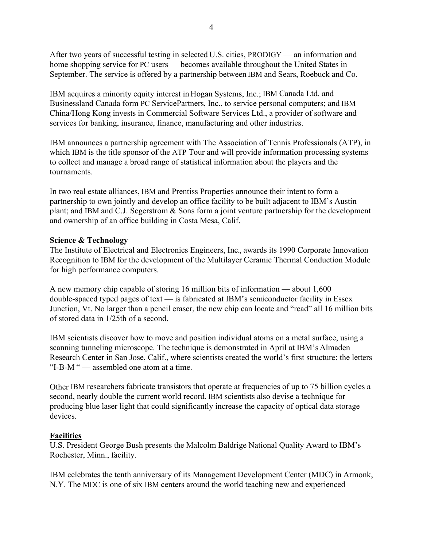After two years of successful testing in selected U.S. cities,  $PRODIGY$  — an information and home shopping service for PC users — becomes available throughout the United States in September. The service is offered by a partnership between IBM and Sears, Roebuck and Co.

IBM acquires a minority equity interest in Hogan Systems, Inc.; IBM Canada Ltd. and Businessland Canada form PC ServicePartners, Inc., to service personal computers; and IBM China/Hong Kong invests in Commercial Software Services Ltd., a provider of software and services for banking, insurance, finance, manufacturing and other industries.

IBM announces a partnership agreement with The Association of Tennis Professionals (ATP), in which IBM is the title sponsor of the ATP Tour and will provide information processing systems to collect and manage a broad range of statistical information about the players and the tournaments.

In two real estate alliances, IBM and Prentiss Properties announce their intent to form a partnership to own jointly and develop an office facility to be built adjacent to IBM's Austin plant; and IBM and C.J. Segerstrom & Sons form a joint venture partnership for the development and ownership of an office building in Costa Mesa, Calif.

#### **Science & Technology**

The Institute of Electrical and Electronics Engineers, Inc., awards its 1990 Corporate Innovation Recognition to IBM for the development of the Multilayer Ceramic Thermal Conduction Module for high performance computers.

A new memory chip capable of storing 16 million bits of information  $-$  about 1,600 double-spaced typed pages of text  $\overline{\phantom{a}}$  is fabricated at IBM's semiconductor facility in Essex Junction, Vt. No larger than a pencil eraser, the new chip can locate and "read" all 16 million bits of stored data in 1/25th of a second.

IBM scientists discover how to move and position individual atoms on a metal surface, using a scanning tunneling microscope. The technique is demonstrated in April at IBM's Almaden Research Center in San Jose, Calif., where scientists created the world's first structure: the letters  $i$ I-B-M $i$   $\sim$  assembled one atom at a time.

Other IBM researchers fabricate transistors that operate at frequencies of up to 75 billion cycles a second, nearly double the current world record. IBM scientists also devise a technique for producing blue laser light that could significantly increase the capacity of optical data storage devices.

#### **Facilities**

U.S. President George Bush presents the Malcolm Baldrige National Quality Award to IBM's Rochester, Minn., facility.

IBM celebrates the tenth anniversary of its Management Development Center (MDC) in Armonk, N.Y. The MDC is one of six IBM centers around the world teaching new and experienced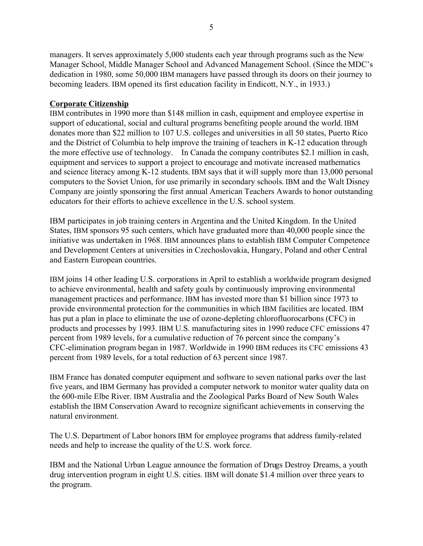managers. It serves approximately 5,000 students each year through programs such as the New Manager School, Middle Manager School and Advanced Management School. (Since the MDC's dedication in 1980, some 50,000 IBM managers have passed through its doors on their journey to becoming leaders. IBM opened its first education facility in Endicott, N.Y., in 1933.)

# **Corporate Citizenship**

IBM contributes in 1990 more than \$148 million in cash, equipment and employee expertise in support of educational, social and cultural programs benefiting people around the world. IBM donates more than \$22 million to 107 U.S. colleges and universities in all 50 states, Puerto Rico and the District of Columbia to help improve the training of teachers in K-12 education through the more effective use of technology. In Canada the company contributes \$2.1 million in cash, equipment and services to support a project to encourage and motivate increased mathematics and science literacy among K-12 students. IBM says that it will supply more than 13,000 personal computers to the Soviet Union, for use primarily in secondary schools. IBM and the Walt Disney Company are jointly sponsoring the first annual American Teachers Awards to honor outstanding educators for their efforts to achieve excellence in the U.S. school system.

IBM participates in job training centers in Argentina and the United Kingdom. In the United States, IBM sponsors 95 such centers, which have graduated more than 40,000 people since the initiative was undertaken in 1968. IBM announces plans to establish IBM Computer Competence and Development Centers at universities in Czechoslovakia, Hungary, Poland and other Central and Eastern European countries.

IBM joins 14 other leading U.S. corporations in April to establish a worldwide program designed to achieve environmental, health and safety goals by continuously improving environmental management practices and performance. IBM has invested more than \$1 billion since 1973 to provide environmental protection for the communities in which IBM facilities are located. IBM has put a plan in place to eliminate the use of ozone-depleting chlorofluorocarbons (CFC) in products and processes by 1993. IBM U.S. manufacturing sites in 1990 reduce CFC emissions 47 percent from 1989 levels, for a cumulative reduction of 76 percent since the company's CFC-elimination program began in 1987. Worldwide in 1990 IBM reduces its CFC emissions 43 percent from 1989 levels, for a total reduction of 63 percent since 1987.

IBM France has donated computer equipment and software to seven national parks over the last five years, and IBM Germany has provided a computer network to monitor water quality data on the 600-mile Elbe River. IBM Australia and the Zoological Parks Board of New South Wales establish the IBM Conservation Award to recognize significant achievements in conserving the natural environment.

The U.S. Department of Labor honors IBM for employee programs that address family-related needs and help to increase the quality of the U.S. work force.

IBM and the National Urban League announce the formation of Drugs Destroy Dreams, a youth drug intervention program in eight U.S. cities. IBM will donate \$1.4 million over three years to the program.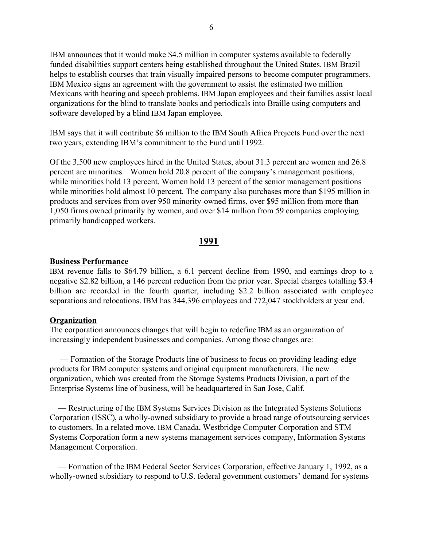IBM announces that it would make \$4.5 million in computer systems available to federally funded disabilities support centers being established throughout the United States. IBM Brazil helps to establish courses that train visually impaired persons to become computer programmers. IBM Mexico signs an agreement with the government to assist the estimated two million Mexicans with hearing and speech problems. IBM Japan employees and their families assist local organizations for the blind to translate books and periodicals into Braille using computers and software developed by a blind IBM Japan employee.

IBM says that it will contribute \$6 million to the IBM South Africa Projects Fund over the next two years, extending IBM's commitment to the Fund until 1992.

Of the 3,500 new employees hired in the United States, about 31.3 percent are women and 26.8 percent are minorities. Women hold 20.8 percent of the company's management positions, while minorities hold 13 percent. Women hold 13 percent of the senior management positions while minorities hold almost 10 percent. The company also purchases more than \$195 million in products and services from over 950 minority-owned firms, over \$95 million from more than 1,050 firms owned primarily by women, and over \$14 million from 59 companies employing primarily handicapped workers.

#### **1991**

#### **Business Performance**

IBM revenue falls to \$64.79 billion, a 6.1 percent decline from 1990, and earnings drop to a negative \$2.82 billion, a 146 percent reduction from the prior year. Special charges totalling \$3.4 billion are recorded in the fourth quarter, including \$2.2 billion associated with employee separations and relocations. IBM has 344,396 employees and 772,047 stockholders at year end.

#### **Organization**

The corporation announces changes that will begin to redefine IBM as an organization of increasingly independent businesses and companies. Among those changes are:

 ó Formation of the Storage Products line of business to focus on providing leading-edge products for IBM computer systems and original equipment manufacturers. The new organization, which was created from the Storage Systems Products Division, a part of the Enterprise Systems line of business, will be headquartered in San Jose, Calif.

— Restructuring of the IBM Systems Services Division as the Integrated Systems Solutions Corporation (ISSC), a wholly-owned subsidiary to provide a broad range of outsourcing services to customers. In a related move, IBM Canada, Westbridge Computer Corporation and STM Systems Corporation form a new systems management services company, Information Systems Management Corporation.

 ó Formation of the IBM Federal Sector Services Corporation, effective January 1, 1992, as a wholly-owned subsidiary to respond to U.S. federal government customers' demand for systems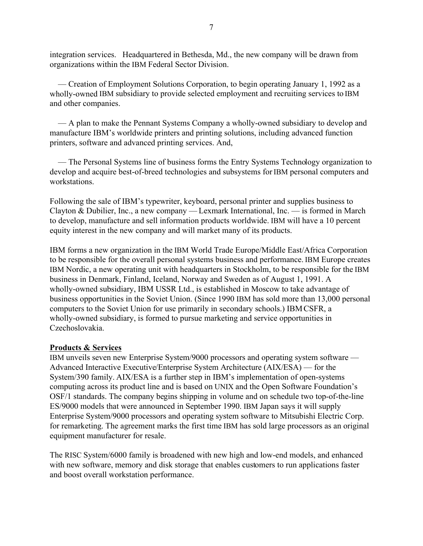integration services. Headquartered in Bethesda, Md., the new company will be drawn from organizations within the IBM Federal Sector Division.

 ó Creation of Employment Solutions Corporation, to begin operating January 1, 1992 as a wholly-owned IBM subsidiary to provide selected employment and recruiting services to IBM and other companies.

 $\overline{A}$  plan to make the Pennant Systems Company a wholly-owned subsidiary to develop and manufacture IBM's worldwide printers and printing solutions, including advanced function printers, software and advanced printing services. And,

 ó The Personal Systems line of business forms the Entry Systems Technology organization to develop and acquire best-of-breed technologies and subsystems for IBM personal computers and workstations.

Following the sale of IBM's typewriter, keyboard, personal printer and supplies business to Clayton & Dubilier, Inc., a new company — Lexmark International, Inc. — is formed in March to develop, manufacture and sell information products worldwide. IBM will have a 10 percent equity interest in the new company and will market many of its products.

IBM forms a new organization in the IBM World Trade Europe/Middle East/Africa Corporation to be responsible for the overall personal systems business and performance. IBM Europe creates IBM Nordic, a new operating unit with headquarters in Stockholm, to be responsible for the IBM business in Denmark, Finland, Iceland, Norway and Sweden as of August 1, 1991. A wholly-owned subsidiary, IBM USSR Ltd., is established in Moscow to take advantage of business opportunities in the Soviet Union. (Since 1990 IBM has sold more than 13,000 personal computers to the Soviet Union for use primarily in secondary schools.) IBM CSFR, a wholly-owned subsidiary, is formed to pursue marketing and service opportunities in Czechoslovakia.

#### **Products & Services**

IBM unveils seven new Enterprise System/9000 processors and operating system software – Advanced Interactive Executive/Enterprise System Architecture  $(AIX/ESA)$  – for the System/390 family. AIX/ESA is a further step in IBM's implementation of open-systems computing across its product line and is based on UNIX and the Open Software Foundation's OSF/1 standards. The company begins shipping in volume and on schedule two top-of-the-line ES/9000 models that were announced in September 1990. IBM Japan says it will supply Enterprise System/9000 processors and operating system software to Mitsubishi Electric Corp. for remarketing. The agreement marks the first time IBM has sold large processors as an original equipment manufacturer for resale.

The RISC System/6000 family is broadened with new high and low-end models, and enhanced with new software, memory and disk storage that enables customers to run applications faster and boost overall workstation performance.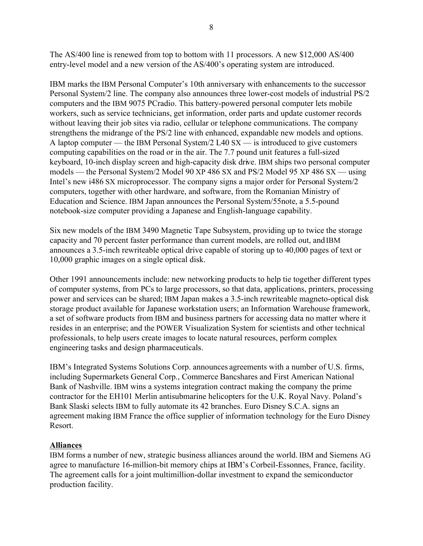The AS/400 line is renewed from top to bottom with 11 processors. A new \$12,000 AS/400 entry-level model and a new version of the AS/400's operating system are introduced.

IBM marks the IBM Personal Computer's 10th anniversary with enhancements to the successor Personal System/2 line. The company also announces three lower-cost models of industrial PS/2 computers and the IBM 9075 PCradio. This battery-powered personal computer lets mobile workers, such as service technicians, get information, order parts and update customer records without leaving their job sites via radio, cellular or telephone communications. The company strengthens the midrange of the PS/2 line with enhanced, expandable new models and options. A laptop computer – the IBM Personal System/2 L40  $SX$  – is introduced to give customers computing capabilities on the road or in the air. The 7.7 pound unit features a full-sized keyboard, 10-inch display screen and high-capacity disk drive. IBM ships two personal computer models – the Personal System/2 Model 90 XP 486 SX and PS/2 Model 95 XP 486 SX – using Intel's new i486 SX microprocessor. The company signs a major order for Personal System/2 computers, together with other hardware, and software, from the Romanian Ministry of Education and Science. IBM Japan announces the Personal System/55note, a 5.5-pound notebook-size computer providing a Japanese and English-language capability.

Six new models of the IBM 3490 Magnetic Tape Subsystem, providing up to twice the storage capacity and 70 percent faster performance than current models, are rolled out, and IBM announces a 3.5-inch rewriteable optical drive capable of storing up to 40,000 pages of text or 10,000 graphic images on a single optical disk.

Other 1991 announcements include: new networking products to help tie together different types of computer systems, from PCs to large processors, so that data, applications, printers, processing power and services can be shared; IBM Japan makes a 3.5-inch rewriteable magneto-optical disk storage product available for Japanese workstation users; an Information Warehouse framework, a set of software products from IBM and business partners for accessing data no matter where it resides in an enterprise; and the POWER Visualization System for scientists and other technical professionals, to help users create images to locate natural resources, perform complex engineering tasks and design pharmaceuticals.

IBM's Integrated Systems Solutions Corp. announces agreements with a number of U.S. firms, including Supermarkets General Corp., Commerce Bancshares and First American National Bank of Nashville. IBM wins a systems integration contract making the company the prime contractor for the EH101 Merlin antisubmarine helicopters for the U.K. Royal Navy. Poland's Bank Slaski selects IBM to fully automate its 42 branches. Euro Disney S.C.A. signs an agreement making IBM France the office supplier of information technology for the Euro Disney Resort.

#### **Alliances**

IBM forms a number of new, strategic business alliances around the world. IBM and Siemens AG agree to manufacture 16-million-bit memory chips at IBM's Corbeil-Essonnes, France, facility. The agreement calls for a joint multimillion-dollar investment to expand the semiconductor production facility.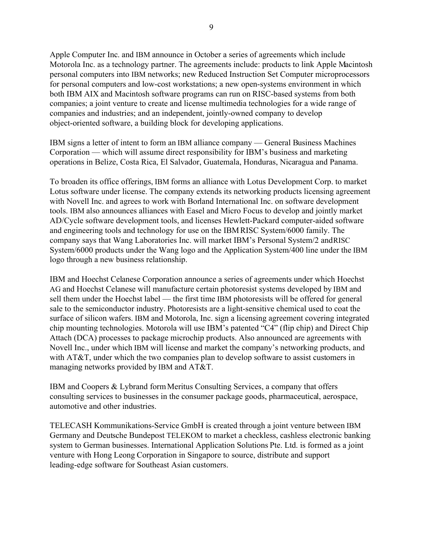Apple Computer Inc. and IBM announce in October a series of agreements which include Motorola Inc. as a technology partner. The agreements include: products to link Apple Macintosh personal computers into IBM networks; new Reduced Instruction Set Computer microprocessors for personal computers and low-cost workstations; a new open-systems environment in which both IBM AIX and Macintosh software programs can run on RISC-based systems from both companies; a joint venture to create and license multimedia technologies for a wide range of companies and industries; and an independent, jointly-owned company to develop object-oriented software, a building block for developing applications.

IBM signs a letter of intent to form an IBM alliance company — General Business Machines Corporation  $-$  which will assume direct responsibility for IBM's business and marketing operations in Belize, Costa Rica, El Salvador, Guatemala, Honduras, Nicaragua and Panama.

To broaden its office offerings, IBM forms an alliance with Lotus Development Corp. to market Lotus software under license. The company extends its networking products licensing agreement with Novell Inc. and agrees to work with Borland International Inc. on software development tools. IBM also announces alliances with Easel and Micro Focus to develop and jointly market AD/Cycle software development tools, and licenses Hewlett-Packard computer-aided software and engineering tools and technology for use on the IBM RISC System/6000 family. The company says that Wang Laboratories Inc. will market IBM's Personal System/2 and RISC System/6000 products under the Wang logo and the Application System/400 line under the IBM logo through a new business relationship.

IBM and Hoechst Celanese Corporation announce a series of agreements under which Hoechst AG and Hoechst Celanese will manufacture certain photoresist systems developed by IBM and sell them under the Hoechst label — the first time IBM photoresists will be offered for general sale to the semiconductor industry. Photoresists are a light-sensitive chemical used to coat the surface of silicon wafers. IBM and Motorola, Inc. sign a licensing agreement covering integrated chip mounting technologies. Motorola will use IBM's patented "C4" (flip chip) and Direct Chip Attach (DCA) processes to package microchip products. Also announced are agreements with Novell Inc., under which IBM will license and market the company's networking products, and with AT&T, under which the two companies plan to develop software to assist customers in managing networks provided by IBM and AT&T.

IBM and Coopers & Lybrand form Meritus Consulting Services, a company that offers consulting services to businesses in the consumer package goods, pharmaceutical, aerospace, automotive and other industries.

TELECASH Kommunikations-Service GmbH is created through a joint venture between IBM Germany and Deutsche Bundepost TELEKOM to market a checkless, cashless electronic banking system to German businesses. International Application Solutions Pte. Ltd. is formed as a joint venture with Hong Leong Corporation in Singapore to source, distribute and support leading-edge software for Southeast Asian customers.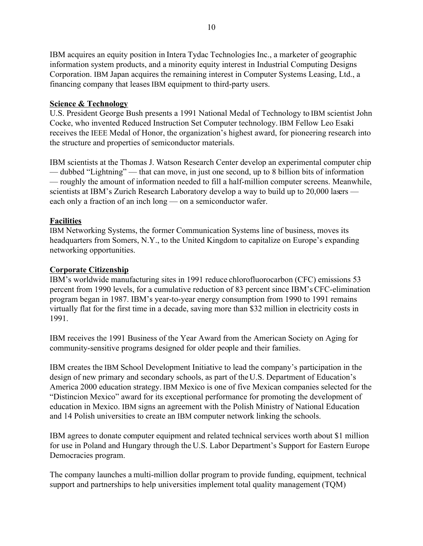IBM acquires an equity position in Intera Tydac Technologies Inc., a marketer of geographic information system products, and a minority equity interest in Industrial Computing Designs Corporation. IBM Japan acquires the remaining interest in Computer Systems Leasing, Ltd., a financing company that leases IBM equipment to third-party users.

# **Science & Technology**

U.S. President George Bush presents a 1991 National Medal of Technology to IBM scientist John Cocke, who invented Reduced Instruction Set Computer technology. IBM Fellow Leo Esaki receives the IEEE Medal of Honor, the organization's highest award, for pioneering research into the structure and properties of semiconductor materials.

IBM scientists at the Thomas J. Watson Research Center develop an experimental computer chip — dubbed "Lightning" — that can move, in just one second, up to 8 billion bits of information ó roughly the amount of information needed to fill a half-million computer screens. Meanwhile, scientists at IBM's Zurich Research Laboratory develop a way to build up to  $20,000$  lasers  $$ each only a fraction of an inch  $\log$   $\sim$  on a semiconductor wafer.

# **Facilities**

IBM Networking Systems, the former Communication Systems line of business, moves its headquarters from Somers, N.Y., to the United Kingdom to capitalize on Europe's expanding networking opportunities.

#### **Corporate Citizenship**

IBM's worldwide manufacturing sites in 1991 reduce chlorofluorocarbon (CFC) emissions 53 percent from 1990 levels, for a cumulative reduction of 83 percent since IBM's CFC-elimination program began in 1987. IBM's year-to-year energy consumption from 1990 to 1991 remains virtually flat for the first time in a decade, saving more than \$32 million in electricity costs in 1991.

IBM receives the 1991 Business of the Year Award from the American Society on Aging for community-sensitive programs designed for older people and their families.

IBM creates the IBM School Development Initiative to lead the company's participation in the design of new primary and secondary schools, as part of the U.S. Department of Education's America 2000 education strategy. IBM Mexico is one of five Mexican companies selected for the ìDistincion Mexicoî award for its exceptional performance for promoting the development of education in Mexico. IBM signs an agreement with the Polish Ministry of National Education and 14 Polish universities to create an IBM computer network linking the schools.

IBM agrees to donate computer equipment and related technical services worth about \$1 million for use in Poland and Hungary through the U.S. Labor Department's Support for Eastern Europe Democracies program.

The company launches a multi-million dollar program to provide funding, equipment, technical support and partnerships to help universities implement total quality management (TQM)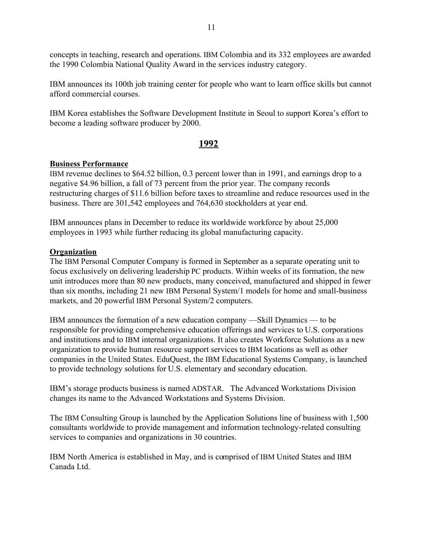concepts in teaching, research and operations. IBM Colombia and its 332 employees are awarded the 1990 Colombia National Quality Award in the services industry category.

IBM announces its 100th job training center for people who want to learn office skills but cannot afford commercial courses.

IBM Korea establishes the Software Development Institute in Seoul to support Korea's effort to become a leading software producer by 2000.

# **1992**

# **Business Performance**

IBM revenue declines to \$64.52 billion, 0.3 percent lower than in 1991, and earnings drop to a negative \$4.96 billion, a fall of 73 percent from the prior year. The company records restructuring charges of \$11.6 billion before taxes to streamline and reduce resources used in the business. There are 301,542 employees and 764,630 stockholders at year end.

IBM announces plans in December to reduce its worldwide workforce by about 25,000 employees in 1993 while further reducing its global manufacturing capacity.

# **Organization**

The IBM Personal Computer Company is formed in September as a separate operating unit to focus exclusively on delivering leadership PC products. Within weeks of its formation, the new unit introduces more than 80 new products, many conceived, manufactured and shipped in fewer than six months, including 21 new IBM Personal System/1 models for home and small-business markets, and 20 powerful IBM Personal System/2 computers.

IBM announces the formation of a new education company  $-S$ kill Dynamics  $-$  to be responsible for providing comprehensive education offerings and services to U.S. corporations and institutions and to IBM internal organizations. It also creates Workforce Solutions as a new organization to provide human resource support services to IBM locations as well as other companies in the United States. EduQuest, the IBM Educational Systems Company, is launched to provide technology solutions for U.S. elementary and secondary education.

IBMís storage products business is named ADSTAR. The Advanced Workstations Division changes its name to the Advanced Workstations and Systems Division.

The IBM Consulting Group is launched by the Application Solutions line of business with 1,500 consultants worldwide to provide management and information technology-related consulting services to companies and organizations in 30 countries.

IBM North America is established in May, and is comprised of IBM United States and IBM Canada Ltd.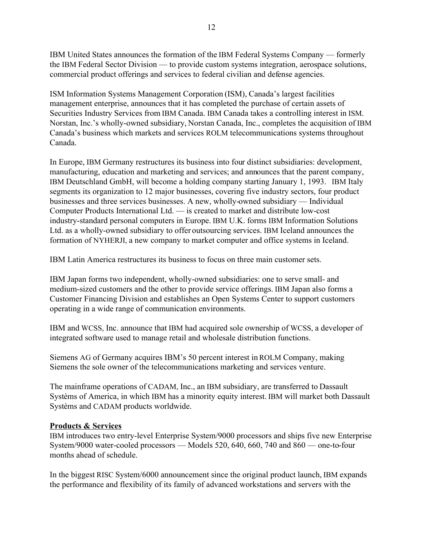IBM United States announces the formation of the IBM Federal Systems Company — formerly the IBM Federal Sector Division — to provide custom systems integration, aerospace solutions, commercial product offerings and services to federal civilian and defense agencies.

ISM Information Systems Management Corporation (ISM), Canada's largest facilities management enterprise, announces that it has completed the purchase of certain assets of Securities Industry Services from IBM Canada. IBM Canada takes a controlling interest in ISM. Norstan, Inc.'s wholly-owned subsidiary, Norstan Canada, Inc., completes the acquisition of IBM Canada's business which markets and services ROLM telecommunications systems throughout Canada.

In Europe, IBM Germany restructures its business into four distinct subsidiaries: development, manufacturing, education and marketing and services; and announces that the parent company, IBM Deutschland GmbH, will become a holding company starting January 1, 1993. IBM Italy segments its organization to 12 major businesses, covering five industry sectors, four product businesses and three services businesses. A new, wholly-owned subsidiary — Individual Computer Products International Ltd. — is created to market and distribute low-cost industry-standard personal computers in Europe. IBM U.K. forms IBM Information Solutions Ltd. as a wholly-owned subsidiary to offer outsourcing services. IBM Iceland announces the formation of NYHERJI, a new company to market computer and office systems in Iceland.

IBM Latin America restructures its business to focus on three main customer sets.

IBM Japan forms two independent, wholly-owned subsidiaries: one to serve small- and medium-sized customers and the other to provide service offerings. IBM Japan also forms a Customer Financing Division and establishes an Open Systems Center to support customers operating in a wide range of communication environments.

IBM and WCSS, Inc. announce that IBM had acquired sole ownership of WCSS, a developer of integrated software used to manage retail and wholesale distribution functions.

Siemens AG of Germany acquires IBM's 50 percent interest in ROLM Company, making Siemens the sole owner of the telecommunications marketing and services venture.

The mainframe operations of CADAM, Inc., an IBM subsidiary, are transferred to Dassault Systèms of America, in which IBM has a minority equity interest. IBM will market both Dassault Systèms and CADAM products worldwide.

# **Products & Services**

IBM introduces two entry-level Enterprise System/9000 processors and ships five new Enterprise System/9000 water-cooled processors  $-$  Models 520, 640, 660, 740 and 860  $-$  one-to-four months ahead of schedule.

In the biggest RISC System/6000 announcement since the original product launch, IBM expands the performance and flexibility of its family of advanced workstations and servers with the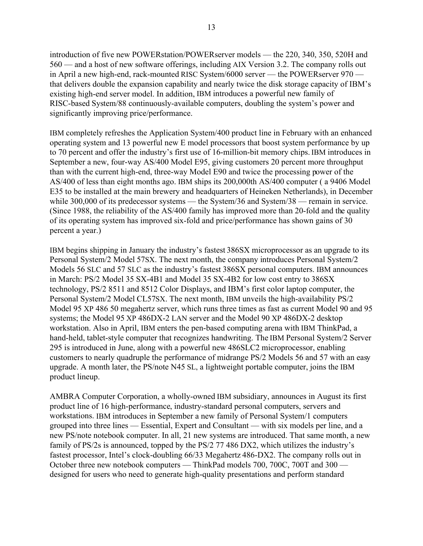introduction of five new POWERstation/POWERserver models  $-$  the 220, 340, 350, 520H and 560 — and a host of new software offerings, including AIX Version 3.2. The company rolls out in April a new high-end, rack-mounted RISC System/6000 server  $-$  the POWERserver 970  $$ that delivers double the expansion capability and nearly twice the disk storage capacity of IBM's existing high-end server model. In addition, IBM introduces a powerful new family of RISC-based System/88 continuously-available computers, doubling the system's power and significantly improving price/performance.

IBM completely refreshes the Application System/400 product line in February with an enhanced operating system and 13 powerful new E model processors that boost system performance by up to 70 percent and offer the industryís first use of 16-million-bit memory chips. IBM introduces in September a new, four-way AS/400 Model E95, giving customers 20 percent more throughput than with the current high-end, three-way Model E90 and twice the processing power of the AS/400 of less than eight months ago. IBM ships its 200,000th AS/400 computer ( a 9406 Model E35 to be installed at the main brewery and headquarters of Heineken Netherlands), in December while  $300,000$  of its predecessor systems — the System/36 and System/38 — remain in service. (Since 1988, the reliability of the AS/400 family has improved more than 20-fold and the quality of its operating system has improved six-fold and price/performance has shown gains of 30 percent a year.)

IBM begins shipping in January the industry's fastest 386SX microprocessor as an upgrade to its Personal System/2 Model 57SX. The next month, the company introduces Personal System/2 Models 56 SLC and 57 SLC as the industry's fastest 386SX personal computers. IBM announces in March: PS/2 Model 35 SX-4B1 and Model 35 SX-4B2 for low cost entry to 386SX technology, PS/2 8511 and 8512 Color Displays, and IBM's first color laptop computer, the Personal System/2 Model CL57SX. The next month, IBM unveils the high-availability PS/2 Model 95 XP 486 50 megahertz server, which runs three times as fast as current Model 90 and 95 systems; the Model 95 XP 486DX-2 LAN server and the Model 90 XP 486DX-2 desktop workstation. Also in April, IBM enters the pen-based computing arena with IBM ThinkPad, a hand-held, tablet-style computer that recognizes handwriting. The IBM Personal System/2 Server 295 is introduced in June, along with a powerful new 486SLC2 microprocessor, enabling customers to nearly quadruple the performance of midrange PS/2 Models 56 and 57 with an easy upgrade. A month later, the PS/note N45 SL, a lightweight portable computer, joins the IBM product lineup.

AMBRA Computer Corporation, a wholly-owned IBM subsidiary, announces in August its first product line of 16 high-performance, industry-standard personal computers, servers and workstations. IBM introduces in September a new family of Personal System/1 computers grouped into three lines — Essential, Expert and Consultant — with six models per line, and a new PS/note notebook computer. In all, 21 new systems are introduced. That same month, a new family of PS/2s is announced, topped by the PS/2 77 486 DX2, which utilizes the industry's fastest processor, Intel's clock-doubling 66/33 Megahertz 486-DX2. The company rolls out in October three new notebook computers — ThinkPad models 700, 700C, 700T and 300 designed for users who need to generate high-quality presentations and perform standard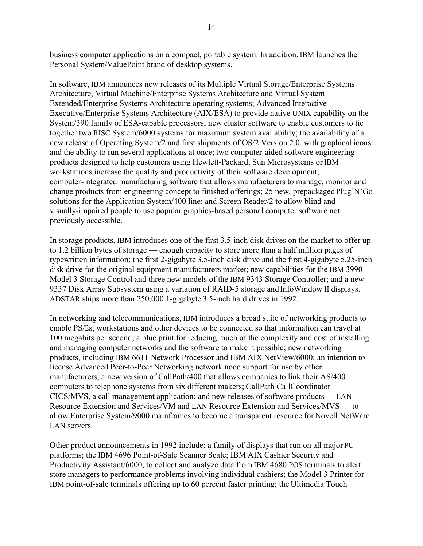business computer applications on a compact, portable system. In addition, IBM launches the Personal System/ValuePoint brand of desktop systems.

In software, IBM announces new releases of its Multiple Virtual Storage/Enterprise Systems Architecture, Virtual Machine/Enterprise Systems Architecture and Virtual System Extended/Enterprise Systems Architecture operating systems; Advanced Interactive Executive/Enterprise Systems Architecture (AIX/ESA) to provide native UNIX capability on the System/390 family of ESA-capable processors; new cluster software to enable customers to tie together two RISC System/6000 systems for maximum system availability; the availability of a new release of Operating System/2 and first shipments of OS/2 Version 2.0. with graphical icons and the ability to run several applications at once; two computer-aided software engineering products designed to help customers using Hewlett-Packard, Sun Microsystems or IBM workstations increase the quality and productivity of their software development; computer-integrated manufacturing software that allows manufacturers to manage, monitor and change products from engineering concept to finished offerings; 25 new, prepackaged Plug'N'Go solutions for the Application System/400 line; and Screen Reader/2 to allow blind and visually-impaired people to use popular graphics-based personal computer software not previously accessible.

In storage products, IBM introduces one of the first 3.5-inch disk drives on the market to offer up to 1.2 billion bytes of storage  $-$  enough capacity to store more than a half million pages of typewritten information; the first 2-gigabyte 3.5-inch disk drive and the first 4-gigabyte 5.25-inch disk drive for the original equipment manufacturers market; new capabilities for the IBM 3990 Model 3 Storage Control and three new models of the IBM 9343 Storage Controller; and a new 9337 Disk Array Subsystem using a variation of RAID-5 storage and InfoWindow II displays. ADSTAR ships more than 250,000 1-gigabyte 3.5-inch hard drives in 1992.

In networking and telecommunications, IBM introduces a broad suite of networking products to enable PS/2s, workstations and other devices to be connected so that information can travel at 100 megabits per second; a blue print for reducing much of the complexity and cost of installing and managing computer networks and the software to make it possible; new networking products, including IBM 6611 Network Processor and IBM AIX NetView/6000; an intention to license Advanced Peer-to-Peer Networking network node support for use by other manufacturers; a new version of CallPath/400 that allows companies to link their AS/400 computers to telephone systems from six different makers; CallPath CallCoordinator  $CICS/MVS$ , a call management application; and new releases of software products  $-LAN$ Resource Extension and Services/VM and LAN Resource Extension and Services/MVS — to allow Enterprise System/9000 mainframes to become a transparent resource for Novell NetWare LAN servers.

Other product announcements in 1992 include: a family of displays that run on all major PC platforms; the IBM 4696 Point-of-Sale Scanner Scale; IBM AIX Cashier Security and Productivity Assistant/6000, to collect and analyze data from IBM 4680 POS terminals to alert store managers to performance problems involving individual cashiers; the Model 3 Printer for IBM point-of-sale terminals offering up to 60 percent faster printing; the Ultimedia Touch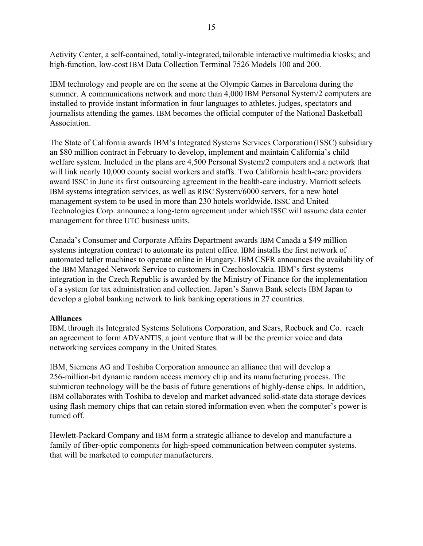Activity Center, a self-contained, totally-integrated, tailorable interactive multimedia kiosks; and high-function, low-cost IBM Data Collection Terminal 7526 Models 100 and 200.

IBM technology and people are on the scene at the Olympic Games in Barcelona during the summer. A communications network and more than 4,000 IBM Personal System/2 computers are installed to provide instant information in four languages to athletes, judges, spectators and journalists attending the games. IBM becomes the official computer of the National Basketball Association.

The State of California awards IBM's Integrated Systems Services Corporation (ISSC) subsidiary an \$80 million contract in February to develop, implement and maintain California's child welfare system. Included in the plans are 4,500 Personal System/2 computers and a network that will link nearly 10,000 county social workers and staffs. Two California health-care providers award ISSC in June its first outsourcing agreement in the health-care industry. Marriott selects IBM systems integration services, as well as RISC System/6000 servers, for a new hotel management system to be used in more than 230 hotels worldwide. ISSC and United Technologies Corp. announce a long-term agreement under which ISSC will assume data center management for three UTC business units.

Canadaís Consumer and Corporate Affairs Department awards IBM Canada a \$49 million systems integration contract to automate its patent office. IBM installs the first network of automated teller machines to operate online in Hungary. IBM CSFR announces the availability of the IBM Managed Network Service to customers in Czechoslovakia. IBM's first systems integration in the Czech Republic is awarded by the Ministry of Finance for the implementation of a system for tax administration and collection. Japanís Sanwa Bank selects IBM Japan to develop a global banking network to link banking operations in 27 countries.

# **Alliances**

IBM, through its Integrated Systems Solutions Corporation, and Sears, Roebuck and Co. reach an agreement to form ADVANTIS, a joint venture that will be the premier voice and data networking services company in the United States.

IBM, Siemens AG and Toshiba Corporation announce an alliance that will develop a 256-million-bit dynamic random access memory chip and its manufacturing process. The submicron technology will be the basis of future generations of highly-dense chips. In addition, IBM collaborates with Toshiba to develop and market advanced solid-state data storage devices using flash memory chips that can retain stored information even when the computer's power is turned off.

Hewlett-Packard Company and IBM form a strategic alliance to develop and manufacture a family of fiber-optic components for high-speed communication between computer systems. that will be marketed to computer manufacturers.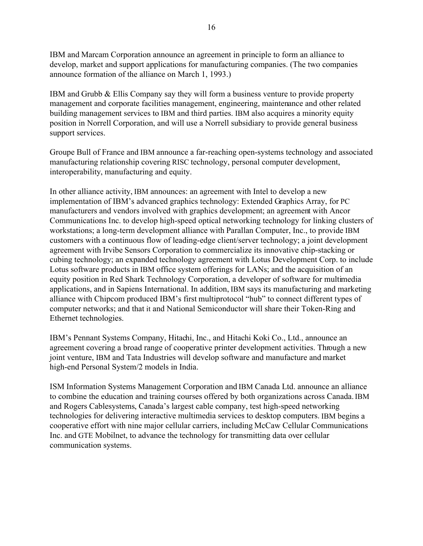IBM and Marcam Corporation announce an agreement in principle to form an alliance to develop, market and support applications for manufacturing companies. (The two companies announce formation of the alliance on March 1, 1993.)

IBM and Grubb & Ellis Company say they will form a business venture to provide property management and corporate facilities management, engineering, maintenance and other related building management services to IBM and third parties. IBM also acquires a minority equity position in Norrell Corporation, and will use a Norrell subsidiary to provide general business support services.

Groupe Bull of France and IBM announce a far-reaching open-systems technology and associated manufacturing relationship covering RISC technology, personal computer development, interoperability, manufacturing and equity.

In other alliance activity, IBM announces: an agreement with Intel to develop a new implementation of IBM's advanced graphics technology: Extended Graphics Array, for PC manufacturers and vendors involved with graphics development; an agreement with Ancor Communications Inc. to develop high-speed optical networking technology for linking clusters of workstations; a long-term development alliance with Parallan Computer, Inc., to provide IBM customers with a continuous flow of leading-edge client/server technology; a joint development agreement with Irvibe Sensors Corporation to commercialize its innovative chip-stacking or cubing technology; an expanded technology agreement with Lotus Development Corp. to include Lotus software products in IBM office system offerings for LANs; and the acquisition of an equity position in Red Shark Technology Corporation, a developer of software for multimedia applications, and in Sapiens International. In addition, IBM says its manufacturing and marketing alliance with Chipcom produced IBM's first multiprotocol "hub" to connect different types of computer networks; and that it and National Semiconductor will share their Token-Ring and Ethernet technologies.

IBM's Pennant Systems Company, Hitachi, Inc., and Hitachi Koki Co., Ltd., announce an agreement covering a broad range of cooperative printer development activities. Through a new joint venture, IBM and Tata Industries will develop software and manufacture and market high-end Personal System/2 models in India.

ISM Information Systems Management Corporation and IBM Canada Ltd. announce an alliance to combine the education and training courses offered by both organizations across Canada. IBM and Rogers Cablesystems, Canada's largest cable company, test high-speed networking technologies for delivering interactive multimedia services to desktop computers. IBM begins a cooperative effort with nine major cellular carriers, including McCaw Cellular Communications Inc. and GTE Mobilnet, to advance the technology for transmitting data over cellular communication systems.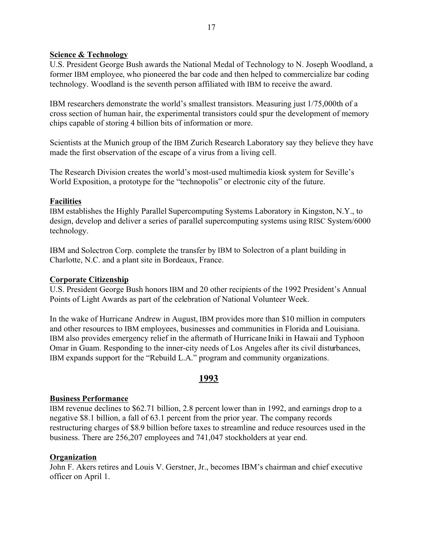#### **Science & Technology**

U.S. President George Bush awards the National Medal of Technology to N. Joseph Woodland, a former IBM employee, who pioneered the bar code and then helped to commercialize bar coding technology. Woodland is the seventh person affiliated with IBM to receive the award.

IBM researchers demonstrate the world's smallest transistors. Measuring just 1/75,000th of a cross section of human hair, the experimental transistors could spur the development of memory chips capable of storing 4 billion bits of information or more.

Scientists at the Munich group of the IBM Zurich Research Laboratory say they believe they have made the first observation of the escape of a virus from a living cell.

The Research Division creates the world's most-used multimedia kiosk system for Seville's World Exposition, a prototype for the "technopolis" or electronic city of the future.

# **Facilities**

IBM establishes the Highly Parallel Supercomputing Systems Laboratory in Kingston, N.Y., to design, develop and deliver a series of parallel supercomputing systems using RISC System/6000 technology.

IBM and Solectron Corp. complete the transfer by IBM to Solectron of a plant building in Charlotte, N.C. and a plant site in Bordeaux, France.

# **Corporate Citizenship**

U.S. President George Bush honors IBM and 20 other recipients of the 1992 President's Annual Points of Light Awards as part of the celebration of National Volunteer Week.

In the wake of Hurricane Andrew in August, IBM provides more than \$10 million in computers and other resources to IBM employees, businesses and communities in Florida and Louisiana. IBM also provides emergency relief in the aftermath of Hurricane Iniki in Hawaii and Typhoon Omar in Guam. Responding to the inner-city needs of Los Angeles after its civil disturbances, IBM expands support for the "Rebuild L.A." program and community organizations.

# **1993**

# **Business Performance**

IBM revenue declines to \$62.71 billion, 2.8 percent lower than in 1992, and earnings drop to a negative \$8.1 billion, a fall of 63.1 percent from the prior year. The company records restructuring charges of \$8.9 billion before taxes to streamline and reduce resources used in the business. There are 256,207 employees and 741,047 stockholders at year end.

# **Organization**

John F. Akers retires and Louis V. Gerstner, Jr., becomes IBM's chairman and chief executive officer on April 1.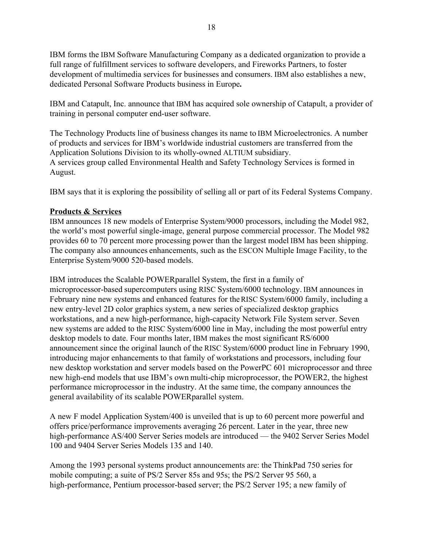IBM forms the IBM Software Manufacturing Company as a dedicated organization to provide a full range of fulfillment services to software developers, and Fireworks Partners, to foster development of multimedia services for businesses and consumers. IBM also establishes a new, dedicated Personal Software Products business in Europe**.**

IBM and Catapult, Inc. announce that IBM has acquired sole ownership of Catapult, a provider of training in personal computer end-user software.

The Technology Products line of business changes its name to IBM Microelectronics. A number of products and services for IBM's worldwide industrial customers are transferred from the Application Solutions Division to its wholly-owned ALTIUM subsidiary. A services group called Environmental Health and Safety Technology Services is formed in August.

IBM says that it is exploring the possibility of selling all or part of its Federal Systems Company.

# **Products & Services**

IBM announces 18 new models of Enterprise System/9000 processors, including the Model 982, the world's most powerful single-image, general purpose commercial processor. The Model 982 provides 60 to 70 percent more processing power than the largest model IBM has been shipping. The company also announces enhancements, such as the ESCON Multiple Image Facility, to the Enterprise System/9000 520-based models.

IBM introduces the Scalable POWERparallel System, the first in a family of microprocessor-based supercomputers using RISC System/6000 technology. IBM announces in February nine new systems and enhanced features for the RISC System/6000 family, including a new entry-level 2D color graphics system, a new series of specialized desktop graphics workstations, and a new high-performance, high-capacity Network File System server. Seven new systems are added to the RISC System/6000 line in May, including the most powerful entry desktop models to date. Four months later, IBM makes the most significant RS/6000 announcement since the original launch of the RISC System/6000 product line in February 1990, introducing major enhancements to that family of workstations and processors, including four new desktop workstation and server models based on the PowerPC 601 microprocessor and three new high-end models that use IBM's own multi-chip microprocessor, the POWER2, the highest performance microprocessor in the industry. At the same time, the company announces the general availability of its scalable POWERparallel system.

A new F model Application System/400 is unveiled that is up to 60 percent more powerful and offers price/performance improvements averaging 26 percent. Later in the year, three new high-performance AS/400 Server Series models are introduced — the 9402 Server Series Model 100 and 9404 Server Series Models 135 and 140.

Among the 1993 personal systems product announcements are: the ThinkPad 750 series for mobile computing; a suite of PS/2 Server 85s and 95s; the PS/2 Server 95 560, a high-performance, Pentium processor-based server; the PS/2 Server 195; a new family of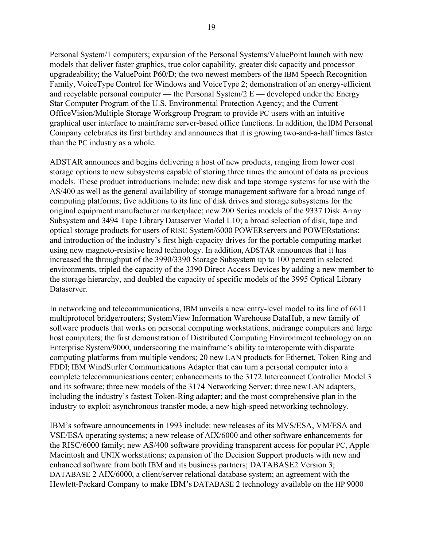Personal System/1 computers; expansion of the Personal Systems/ValuePoint launch with new models that deliver faster graphics, true color capability, greater disk capacity and processor upgradeability; the ValuePoint P60/D; the two newest members of the IBM Speech Recognition Family, VoiceType Control for Windows and VoiceType 2; demonstration of an energy-efficient and recyclable personal computer  $-$  the Personal System/2 E  $-$  developed under the Energy Star Computer Program of the U.S. Environmental Protection Agency; and the Current OfficeVision/Multiple Storage Workgroup Program to provide PC users with an intuitive graphical user interface to mainframe server-based office functions. In addition, the IBM Personal Company celebrates its first birthday and announces that it is growing two-and-a-half times faster than the PC industry as a whole.

ADSTAR announces and begins delivering a host of new products, ranging from lower cost storage options to new subsystems capable of storing three times the amount of data as previous models. These product introductions include: new disk and tape storage systems for use with the AS/400 as well as the general availability of storage management software for a broad range of computing platforms; five additions to its line of disk drives and storage subsystems for the original equipment manufacturer marketplace; new 200 Series models of the 9337 Disk Array Subsystem and 3494 Tape Library Dataserver Model L10; a broad selection of disk, tape and optical storage products for users of RISC System/6000 POWERservers and POWERstations; and introduction of the industry's first high-capacity drives for the portable computing market using new magneto-resistive head technology. In addition, ADSTAR announces that it has increased the throughput of the 3990/3390 Storage Subsystem up to 100 percent in selected environments, tripled the capacity of the 3390 Direct Access Devices by adding a new member to the storage hierarchy, and doubled the capacity of specific models of the 3995 Optical Library Dataserver.

In networking and telecommunications, IBM unveils a new entry-level model to its line of 6611 multiprotocol bridge/routers; SystemView Information Warehouse DataHub, a new family of software products that works on personal computing workstations, midrange computers and large host computers; the first demonstration of Distributed Computing Environment technology on an Enterprise System/9000, underscoring the mainframe's ability to interoperate with disparate computing platforms from multiple vendors; 20 new LAN products for Ethernet, Token Ring and FDDI; IBM WindSurfer Communications Adapter that can turn a personal computer into a complete telecommunications center; enhancements to the 3172 Interconnect Controller Model 3 and its software; three new models of the 3174 Networking Server; three new LAN adapters, including the industry's fastest Token-Ring adapter; and the most comprehensive plan in the industry to exploit asynchronous transfer mode, a new high-speed networking technology.

IBM's software announcements in 1993 include: new releases of its MVS/ESA, VM/ESA and VSE/ESA operating systems; a new release of AIX/6000 and other software enhancements for the RISC/6000 family; new AS/400 software providing transparent access for popular PC, Apple Macintosh and UNIX workstations; expansion of the Decision Support products with new and enhanced software from both IBM and its business partners; DATABASE2 Version 3; DATABASE 2 AIX/6000, a client/server relational database system; an agreement with the Hewlett-Packard Company to make IBM's DATABASE 2 technology available on the HP 9000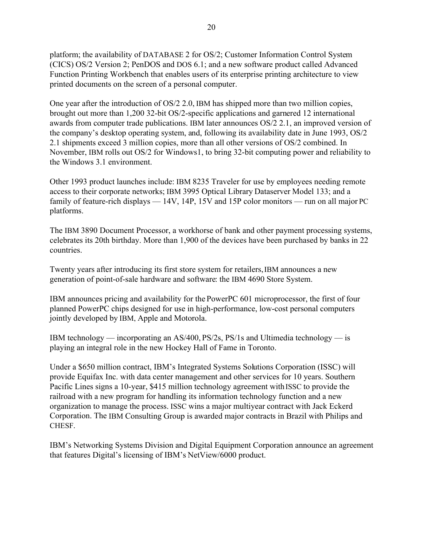platform; the availability of DATABASE 2 for OS/2; Customer Information Control System (CICS) OS/2 Version 2; PenDOS and DOS 6.1; and a new software product called Advanced Function Printing Workbench that enables users of its enterprise printing architecture to view printed documents on the screen of a personal computer.

One year after the introduction of OS/2 2.0, IBM has shipped more than two million copies, brought out more than 1,200 32-bit OS/2-specific applications and garnered 12 international awards from computer trade publications. IBM later announces OS/2 2.1, an improved version of the company's desktop operating system, and, following its availability date in June 1993, OS/2 2.1 shipments exceed 3 million copies, more than all other versions of OS/2 combined. In November, IBM rolls out OS/2 for Windows1, to bring 32-bit computing power and reliability to the Windows 3.1 environment.

Other 1993 product launches include: IBM 8235 Traveler for use by employees needing remote access to their corporate networks; IBM 3995 Optical Library Dataserver Model 133; and a family of feature-rich displays  $-14V$ , 14P, 15V and 15P color monitors  $-$  run on all major PC platforms.

The IBM 3890 Document Processor, a workhorse of bank and other payment processing systems, celebrates its 20th birthday. More than 1,900 of the devices have been purchased by banks in 22 countries.

Twenty years after introducing its first store system for retailers, IBM announces a new generation of point-of-sale hardware and software: the IBM 4690 Store System.

IBM announces pricing and availability for the PowerPC 601 microprocessor, the first of four planned PowerPC chips designed for use in high-performance, low-cost personal computers jointly developed by IBM, Apple and Motorola.

IBM technology — incorporating an AS/400, PS/2s, PS/1s and Ultimedia technology — is playing an integral role in the new Hockey Hall of Fame in Toronto.

Under a \$650 million contract, IBM's Integrated Systems Solutions Corporation (ISSC) will provide Equifax Inc. with data center management and other services for 10 years. Southern Pacific Lines signs a 10-year, \$415 million technology agreement with ISSC to provide the railroad with a new program for handling its information technology function and a new organization to manage the process. ISSC wins a major multiyear contract with Jack Eckerd Corporation. The IBM Consulting Group is awarded major contracts in Brazil with Philips and CHESF.

IBM's Networking Systems Division and Digital Equipment Corporation announce an agreement that features Digital's licensing of IBM's NetView/6000 product.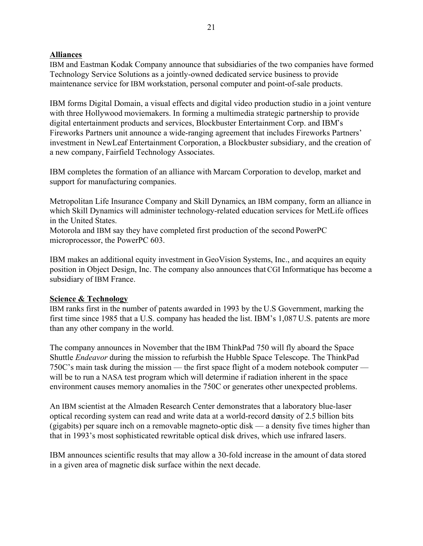# **Alliances**

IBM and Eastman Kodak Company announce that subsidiaries of the two companies have formed Technology Service Solutions as a jointly-owned dedicated service business to provide maintenance service for IBM workstation, personal computer and point-of-sale products.

IBM forms Digital Domain, a visual effects and digital video production studio in a joint venture with three Hollywood moviemakers. In forming a multimedia strategic partnership to provide digital entertainment products and services, Blockbuster Entertainment Corp. and IBM's Fireworks Partners unit announce a wide-ranging agreement that includes Fireworks Partners' investment in NewLeaf Entertainment Corporation, a Blockbuster subsidiary, and the creation of a new company, Fairfield Technology Associates.

IBM completes the formation of an alliance with Marcam Corporation to develop, market and support for manufacturing companies.

Metropolitan Life Insurance Company and Skill Dynamics, an IBM company, form an alliance in which Skill Dynamics will administer technology-related education services for MetLife offices in the United States.

Motorola and IBM say they have completed first production of the second PowerPC microprocessor, the PowerPC 603.

IBM makes an additional equity investment in GeoVision Systems, Inc., and acquires an equity position in Object Design, Inc. The company also announces that CGI Informatique has become a subsidiary of IBM France.

#### **Science & Technology**

IBM ranks first in the number of patents awarded in 1993 by the U.S Government, marking the first time since 1985 that a U.S. company has headed the list. IBM's 1,087 U.S. patents are more than any other company in the world.

The company announces in November that the IBM ThinkPad 750 will fly aboard the Space Shuttle *Endeavor* during the mission to refurbish the Hubble Space Telescope. The ThinkPad 750C's main task during the mission — the first space flight of a modern notebook computer  $\overline{\phantom{a}}$ will be to run a NASA test program which will determine if radiation inherent in the space environment causes memory anomalies in the 750C or generates other unexpected problems.

An IBM scientist at the Almaden Research Center demonstrates that a laboratory blue-laser optical recording system can read and write data at a world-record density of 2.5 billion bits (gigabits) per square inch on a removable magneto-optic disk  $\frac{1}{a}$  a density five times higher than that in 1993's most sophisticated rewritable optical disk drives, which use infrared lasers.

IBM announces scientific results that may allow a 30-fold increase in the amount of data stored in a given area of magnetic disk surface within the next decade.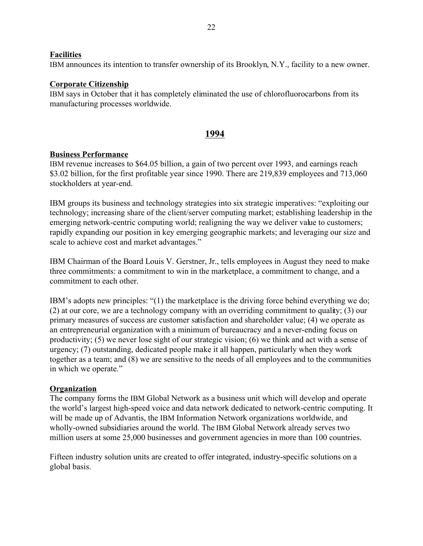# **Facilities**

IBM announces its intention to transfer ownership of its Brooklyn, N.Y., facility to a new owner.

#### **Corporate Citizenship**

IBM says in October that it has completely eliminated the use of chlorofluorocarbons from its manufacturing processes worldwide.

# **1994**

#### **Business Performance**

IBM revenue increases to \$64.05 billion, a gain of two percent over 1993, and earnings reach \$3.02 billion, for the first profitable year since 1990. There are 219,839 employees and 713,060 stockholders at year-end.

IBM groups its business and technology strategies into six strategic imperatives: "exploiting our technology; increasing share of the client/server computing market; establishing leadership in the emerging network-centric computing world; realigning the way we deliver value to customers; rapidly expanding our position in key emerging geographic markets; and leveraging our size and scale to achieve cost and market advantages."

IBM Chairman of the Board Louis V. Gerstner, Jr., tells employees in August they need to make three commitments: a commitment to win in the marketplace, a commitment to change, and a commitment to each other.

IBM's adopts new principles:  $\degree$ (1) the marketplace is the driving force behind everything we do; (2) at our core, we are a technology company with an overriding commitment to quality; (3) our primary measures of success are customer satisfaction and shareholder value; (4) we operate as an entrepreneurial organization with a minimum of bureaucracy and a never-ending focus on productivity; (5) we never lose sight of our strategic vision; (6) we think and act with a sense of urgency; (7) outstanding, dedicated people make it all happen, particularly when they work together as a team; and (8) we are sensitive to the needs of all employees and to the communities in which we operate."

#### **Organization**

The company forms the IBM Global Network as a business unit which will develop and operate the world's largest high-speed voice and data network dedicated to network-centric computing. It will be made up of Advantis, the IBM Information Network organizations worldwide, and wholly-owned subsidiaries around the world. The IBM Global Network already serves two million users at some 25,000 businesses and government agencies in more than 100 countries.

Fifteen industry solution units are created to offer integrated, industry-specific solutions on a global basis.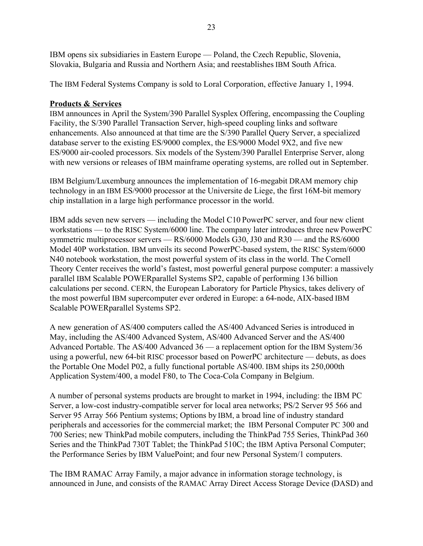IBM opens six subsidiaries in Eastern Europe — Poland, the Czech Republic, Slovenia, Slovakia, Bulgaria and Russia and Northern Asia; and reestablishes IBM South Africa.

The IBM Federal Systems Company is sold to Loral Corporation, effective January 1, 1994.

# **Products & Services**

IBM announces in April the System/390 Parallel Sysplex Offering, encompassing the Coupling Facility, the S/390 Parallel Transaction Server, high-speed coupling links and software enhancements. Also announced at that time are the S/390 Parallel Query Server, a specialized database server to the existing ES/9000 complex, the ES/9000 Model 9X2, and five new ES/9000 air-cooled processors. Six models of the System/390 Parallel Enterprise Server, along with new versions or releases of IBM mainframe operating systems, are rolled out in September.

IBM Belgium/Luxemburg announces the implementation of 16-megabit DRAM memory chip technology in an IBM ES/9000 processor at the Universite de Liege, the first 16M-bit memory chip installation in a large high performance processor in the world.

IBM adds seven new servers — including the Model C10 PowerPC server, and four new client workstations — to the RISC System/6000 line. The company later introduces three new PowerPC symmetric multiprocessor servers  $-$  RS/6000 Models G30, J30 and R30  $-$  and the RS/6000 Model 40P workstation. IBM unveils its second PowerPC-based system, the RISC System/6000 N40 notebook workstation, the most powerful system of its class in the world. The Cornell Theory Center receives the world's fastest, most powerful general purpose computer: a massively parallel IBM Scalable POWERparallel Systems SP2, capable of performing 136 billion calculations per second. CERN, the European Laboratory for Particle Physics, takes delivery of the most powerful IBM supercomputer ever ordered in Europe: a 64-node, AIX-based IBM Scalable POWERparallel Systems SP2.

A new generation of AS/400 computers called the AS/400 Advanced Series is introduced in May, including the AS/400 Advanced System, AS/400 Advanced Server and the AS/400 Advanced Portable. The AS/400 Advanced  $36 - a$  replacement option for the IBM System/36 using a powerful, new 64-bit RISC processor based on PowerPC architecture — debuts, as does the Portable One Model P02, a fully functional portable AS/400. IBM ships its 250,000th Application System/400, a model F80, to The Coca-Cola Company in Belgium.

A number of personal systems products are brought to market in 1994, including: the IBM PC Server, a low-cost industry-compatible server for local area networks; PS/2 Server 95 566 and Server 95 Array 566 Pentium systems; Options by IBM, a broad line of industry standard peripherals and accessories for the commercial market; the IBM Personal Computer PC 300 and 700 Series; new ThinkPad mobile computers, including the ThinkPad 755 Series, ThinkPad 360 Series and the ThinkPad 730T Tablet; the ThinkPad 510C; the IBM Aptiva Personal Computer; the Performance Series by IBM ValuePoint; and four new Personal System/1 computers.

The IBM RAMAC Array Family, a major advance in information storage technology, is announced in June, and consists of the RAMAC Array Direct Access Storage Device (DASD) and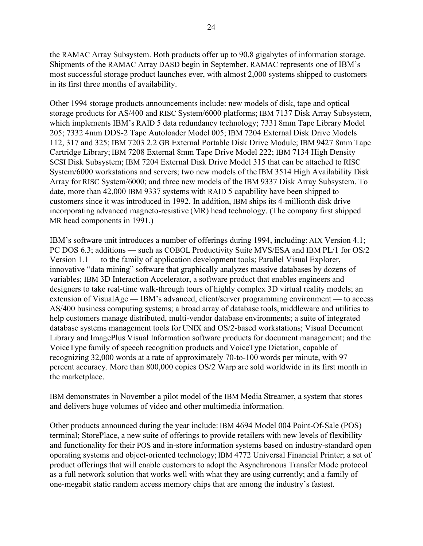the RAMAC Array Subsystem. Both products offer up to 90.8 gigabytes of information storage. Shipments of the RAMAC Array DASD begin in September. RAMAC represents one of IBM's most successful storage product launches ever, with almost 2,000 systems shipped to customers in its first three months of availability.

Other 1994 storage products announcements include: new models of disk, tape and optical storage products for AS/400 and RISC System/6000 platforms; IBM 7137 Disk Array Subsystem, which implements IBM's RAID 5 data redundancy technology; 7331 8mm Tape Library Model 205; 7332 4mm DDS-2 Tape Autoloader Model 005; IBM 7204 External Disk Drive Models 112, 317 and 325; IBM 7203 2.2 GB External Portable Disk Drive Module; IBM 9427 8mm Tape Cartridge Library; IBM 7208 External 8mm Tape Drive Model 222; IBM 7134 High Density SCSI Disk Subsystem; IBM 7204 External Disk Drive Model 315 that can be attached to RISC System/6000 workstations and servers; two new models of the IBM 3514 High Availability Disk Array for RISC System/6000; and three new models of the IBM 9337 Disk Array Subsystem. To date, more than 42,000 IBM 9337 systems with RAID 5 capability have been shipped to customers since it was introduced in 1992. In addition, IBM ships its 4-millionth disk drive incorporating advanced magneto-resistive (MR) head technology. (The company first shipped MR head components in 1991.)

IBMís software unit introduces a number of offerings during 1994, including: AIX Version 4.1; PC DOS 6.3; additions — such as COBOL Productivity Suite MVS/ESA and IBM PL/1 for OS/2 Version  $1.1$  — to the family of application development tools; Parallel Visual Explorer, innovative "data mining" software that graphically analyzes massive databases by dozens of variables; IBM 3D Interaction Accelerator, a software product that enables engineers and designers to take real-time walk-through tours of highly complex 3D virtual reality models; an extension of VisualAge – IBM's advanced, client/server programming environment – to access AS/400 business computing systems; a broad array of database tools, middleware and utilities to help customers manage distributed, multi-vendor database environments; a suite of integrated database systems management tools for UNIX and OS/2-based workstations; Visual Document Library and ImagePlus Visual Information software products for document management; and the VoiceType family of speech recognition products and VoiceType Dictation, capable of recognizing 32,000 words at a rate of approximately 70-to-100 words per minute, with 97 percent accuracy. More than 800,000 copies OS/2 Warp are sold worldwide in its first month in the marketplace.

IBM demonstrates in November a pilot model of the IBM Media Streamer, a system that stores and delivers huge volumes of video and other multimedia information.

Other products announced during the year include: IBM 4694 Model 004 Point-Of-Sale (POS) terminal; StorePlace, a new suite of offerings to provide retailers with new levels of flexibility and functionality for their POS and in-store information systems based on industry-standard open operating systems and object-oriented technology; IBM 4772 Universal Financial Printer; a set of product offerings that will enable customers to adopt the Asynchronous Transfer Mode protocol as a full network solution that works well with what they are using currently; and a family of one-megabit static random access memory chips that are among the industry's fastest.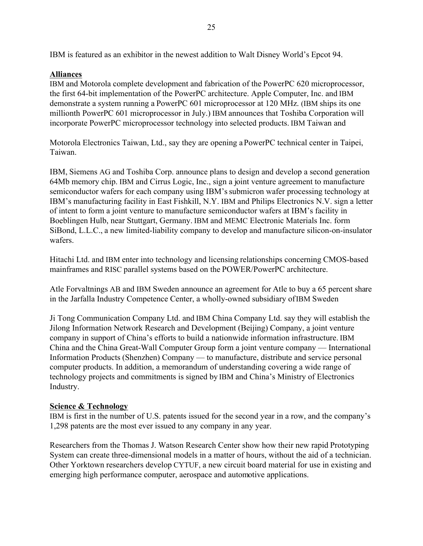# **Alliances**

IBM and Motorola complete development and fabrication of the PowerPC 620 microprocessor, the first 64-bit implementation of the PowerPC architecture. Apple Computer, Inc. and IBM demonstrate a system running a PowerPC 601 microprocessor at 120 MHz. (IBM ships its one millionth PowerPC 601 microprocessor in July.) IBM announces that Toshiba Corporation will incorporate PowerPC microprocessor technology into selected products. IBM Taiwan and

Motorola Electronics Taiwan, Ltd., say they are opening a PowerPC technical center in Taipei, Taiwan.

IBM, Siemens AG and Toshiba Corp. announce plans to design and develop a second generation 64Mb memory chip. IBM and Cirrus Logic, Inc., sign a joint venture agreement to manufacture semiconductor wafers for each company using IBM's submicron wafer processing technology at IBM's manufacturing facility in East Fishkill, N.Y. IBM and Philips Electronics N.V. sign a letter of intent to form a joint venture to manufacture semiconductor wafers at IBM's facility in Boeblingen Hulb, near Stuttgart, Germany. IBM and MEMC Electronic Materials Inc. form SiBond, L.L.C., a new limited-liability company to develop and manufacture silicon-on-insulator wafers.

Hitachi Ltd. and IBM enter into technology and licensing relationships concerning CMOS-based mainframes and RISC parallel systems based on the POWER/PowerPC architecture.

Atle Forvaltnings AB and IBM Sweden announce an agreement for Atle to buy a 65 percent share in the Jarfalla Industry Competence Center, a wholly-owned subsidiary of IBM Sweden

Ji Tong Communication Company Ltd. and IBM China Company Ltd. say they will establish the Jilong Information Network Research and Development (Beijing) Company, a joint venture company in support of China's efforts to build a nationwide information infrastructure. IBM China and the China Great-Wall Computer Group form a joint venture company — International Information Products (Shenzhen) Company — to manufacture, distribute and service personal computer products. In addition, a memorandum of understanding covering a wide range of technology projects and commitments is signed by IBM and China's Ministry of Electronics Industry.

# **Science & Technology**

IBM is first in the number of U.S. patents issued for the second year in a row, and the company's 1,298 patents are the most ever issued to any company in any year.

Researchers from the Thomas J. Watson Research Center show how their new rapid Prototyping System can create three-dimensional models in a matter of hours, without the aid of a technician. Other Yorktown researchers develop CYTUF, a new circuit board material for use in existing and emerging high performance computer, aerospace and automotive applications.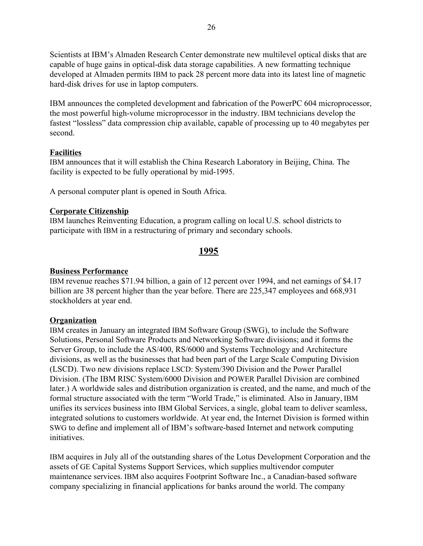Scientists at IBM's Almaden Research Center demonstrate new multilevel optical disks that are capable of huge gains in optical-disk data storage capabilities. A new formatting technique developed at Almaden permits IBM to pack 28 percent more data into its latest line of magnetic hard-disk drives for use in laptop computers.

IBM announces the completed development and fabrication of the PowerPC 604 microprocessor, the most powerful high-volume microprocessor in the industry. IBM technicians develop the fastest "lossless" data compression chip available, capable of processing up to 40 megabytes per second.

# **Facilities**

IBM announces that it will establish the China Research Laboratory in Beijing, China. The facility is expected to be fully operational by mid-1995.

A personal computer plant is opened in South Africa.

# **Corporate Citizenship**

IBM launches Reinventing Education, a program calling on local U.S. school districts to participate with IBM in a restructuring of primary and secondary schools.

# **1995**

# **Business Performance**

IBM revenue reaches \$71.94 billion, a gain of 12 percent over 1994, and net earnings of \$4.17 billion are 38 percent higher than the year before. There are 225,347 employees and 668,931 stockholders at year end.

# **Organization**

IBM creates in January an integrated IBM Software Group (SWG), to include the Software Solutions, Personal Software Products and Networking Software divisions; and it forms the Server Group, to include the AS/400, RS/6000 and Systems Technology and Architecture divisions, as well as the businesses that had been part of the Large Scale Computing Division (LSCD). Two new divisions replace LSCD: System/390 Division and the Power Parallel Division. (The IBM RISC System/6000 Division and POWER Parallel Division are combined later.) A worldwide sales and distribution organization is created, and the name, and much of the formal structure associated with the term "World Trade," is eliminated. Also in January, IBM unifies its services business into IBM Global Services, a single, global team to deliver seamless, integrated solutions to customers worldwide. At year end, the Internet Division is formed within SWG to define and implement all of IBM's software-based Internet and network computing initiatives.

IBM acquires in July all of the outstanding shares of the Lotus Development Corporation and the assets of GE Capital Systems Support Services, which supplies multivendor computer maintenance services. IBM also acquires Footprint Software Inc., a Canadian-based software company specializing in financial applications for banks around the world. The company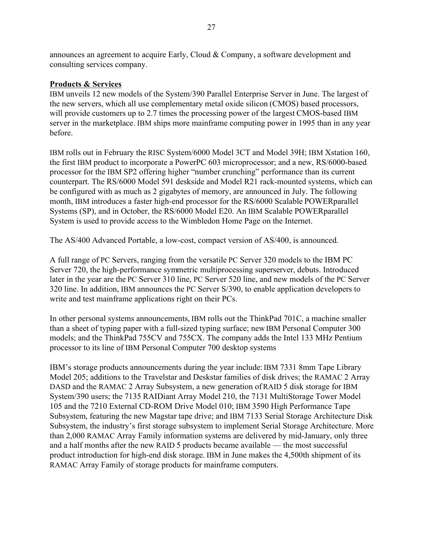announces an agreement to acquire Early, Cloud & Company, a software development and consulting services company.

#### **Products & Services**

IBM unveils 12 new models of the System/390 Parallel Enterprise Server in June. The largest of the new servers, which all use complementary metal oxide silicon (CMOS) based processors, will provide customers up to 2.7 times the processing power of the largest CMOS-based IBM server in the marketplace. IBM ships more mainframe computing power in 1995 than in any year before.

IBM rolls out in February the RISC System/6000 Model 3CT and Model 39H; IBM Xstation 160, the first IBM product to incorporate a PowerPC 603 microprocessor; and a new, RS/6000-based processor for the IBM SP2 offering higher "number crunching" performance than its current counterpart. The RS/6000 Model 591 deskside and Model R21 rack-mounted systems, which can be configured with as much as 2 gigabytes of memory, are announced in July. The following month, IBM introduces a faster high-end processor for the RS/6000 Scalable POWERparallel Systems (SP), and in October, the RS/6000 Model E20. An IBM Scalable POWERparallel System is used to provide access to the Wimbledon Home Page on the Internet.

The AS/400 Advanced Portable, a low-cost, compact version of AS/400, is announced.

A full range of PC Servers, ranging from the versatile PC Server 320 models to the IBM PC Server 720, the high-performance symmetric multiprocessing superserver, debuts. Introduced later in the year are the PC Server 310 line, PC Server 520 line, and new models of the PC Server 320 line. In addition, IBM announces the PC Server S/390, to enable application developers to write and test mainframe applications right on their PCs.

In other personal systems announcements, IBM rolls out the ThinkPad 701C, a machine smaller than a sheet of typing paper with a full-sized typing surface; new IBM Personal Computer 300 models; and the ThinkPad 755CV and 755CX. The company adds the Intel 133 MHz Pentium processor to its line of IBM Personal Computer 700 desktop systems

IBMís storage products announcements during the year include: IBM 7331 8mm Tape Library Model 205; additions to the Travelstar and Deskstar families of disk drives; the RAMAC 2 Array DASD and the RAMAC 2 Array Subsystem, a new generation of RAID 5 disk storage for IBM System/390 users; the 7135 RAIDiant Array Model 210, the 7131 MultiStorage Tower Model 105 and the 7210 External CD-ROM Drive Model 010; IBM 3590 High Performance Tape Subsystem, featuring the new Magstar tape drive; and IBM 7133 Serial Storage Architecture Disk Subsystem, the industry's first storage subsystem to implement Serial Storage Architecture. More than 2,000 RAMAC Array Family information systems are delivered by mid-January, only three and a half months after the new RAID 5 products became available — the most successful product introduction for high-end disk storage. IBM in June makes the 4,500th shipment of its RAMAC Array Family of storage products for mainframe computers.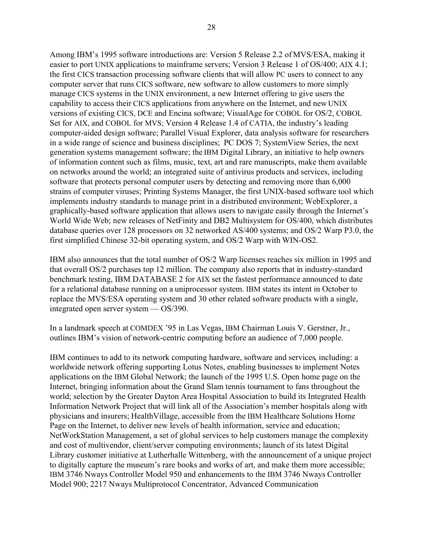Among IBM's 1995 software introductions are: Version 5 Release 2.2 of MVS/ESA, making it easier to port UNIX applications to mainframe servers; Version 3 Release 1 of OS/400; AIX 4.1; the first CICS transaction processing software clients that will allow PC users to connect to any computer server that runs CICS software, new software to allow customers to more simply manage CICS systems in the UNIX environment, a new Internet offering to give users the capability to access their CICS applications from anywhere on the Internet, and new UNIX versions of existing CICS, DCE and Encina software; VisualAge for COBOL for OS/2, COBOL Set for AIX, and COBOL for MVS; Version 4 Release 1.4 of CATIA, the industry's leading computer-aided design software; Parallel Visual Explorer, data analysis software for researchers in a wide range of science and business disciplines; PC DOS 7; SystemView Series, the next generation systems management software; the IBM Digital Library, an initiative to help owners of information content such as films, music, text, art and rare manuscripts, make them available on networks around the world; an integrated suite of antivirus products and services, including software that protects personal computer users by detecting and removing more than 6,000 strains of computer viruses; Printing Systems Manager, the first UNIX-based software tool which implements industry standards to manage print in a distributed environment; WebExplorer, a graphically-based software application that allows users to navigate easily through the Internet's World Wide Web; new releases of NetFinity and DB2 Multisystem for OS/400, which distributes database queries over 128 processors on 32 networked AS/400 systems; and OS/2 Warp P3.0, the first simplified Chinese 32-bit operating system, and OS/2 Warp with WIN-OS2.

IBM also announces that the total number of OS/2 Warp licenses reaches six million in 1995 and that overall OS/2 purchases top 12 million. The company also reports that in industry-standard benchmark testing, IBM DATABASE 2 for AIX set the fastest performance announced to date for a relational database running on a uniprocessor system. IBM states its intent in October to replace the MVS/ESA operating system and 30 other related software products with a single, integrated open server system  $-$  OS/390.

In a landmark speech at COMDEX '95 in Las Vegas, IBM Chairman Louis V. Gerstner, Jr., outlines IBM's vision of network-centric computing before an audience of 7,000 people.

IBM continues to add to its network computing hardware, software and services, including: a worldwide network offering supporting Lotus Notes, enabling businesses to implement Notes applications on the IBM Global Network; the launch of the 1995 U.S. Open home page on the Internet, bringing information about the Grand Slam tennis tournament to fans throughout the world; selection by the Greater Dayton Area Hospital Association to build its Integrated Health Information Network Project that will link all of the Association's member hospitals along with physicians and insurers; HealthVillage, accessible from the IBM Healthcare Solutions Home Page on the Internet, to deliver new levels of health information, service and education; NetWorkStation Management, a set of global services to help customers manage the complexity and cost of multivendor, client/server computing environments; launch of its latest Digital Library customer initiative at Lutherhalle Wittenberg, with the announcement of a unique project to digitally capture the museum's rare books and works of art, and make them more accessible; IBM 3746 Nways Controller Model 950 and enhancements to the IBM 3746 Nways Controller Model 900; 2217 Nways Multiprotocol Concentrator, Advanced Communication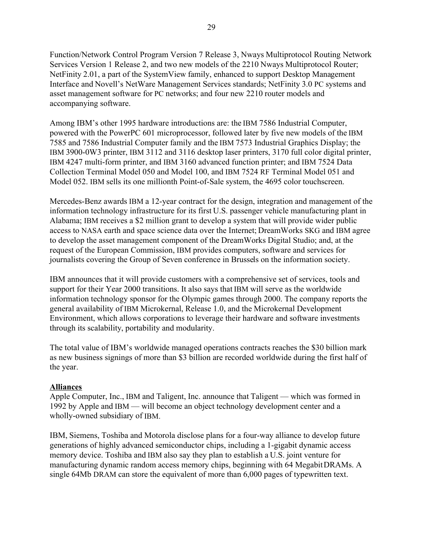Function/Network Control Program Version 7 Release 3, Nways Multiprotocol Routing Network Services Version 1 Release 2, and two new models of the 2210 Nways Multiprotocol Router; NetFinity 2.01, a part of the SystemView family, enhanced to support Desktop Management Interface and Novell's NetWare Management Services standards; NetFinity 3.0 PC systems and asset management software for PC networks; and four new 2210 router models and accompanying software.

Among IBM's other 1995 hardware introductions are: the IBM 7586 Industrial Computer, powered with the PowerPC 601 microprocessor, followed later by five new models of the IBM 7585 and 7586 Industrial Computer family and the IBM 7573 Industrial Graphics Display; the IBM 3900-0W3 printer, IBM 3112 and 3116 desktop laser printers, 3170 full color digital printer, IBM 4247 multi-form printer, and IBM 3160 advanced function printer; and IBM 7524 Data Collection Terminal Model 050 and Model 100, and IBM 7524 RF Terminal Model 051 and Model 052. IBM sells its one millionth Point-of-Sale system, the 4695 color touchscreen.

Mercedes-Benz awards IBM a 12-year contract for the design, integration and management of the information technology infrastructure for its first U.S. passenger vehicle manufacturing plant in Alabama; IBM receives a \$2 million grant to develop a system that will provide wider public access to NASA earth and space science data over the Internet; DreamWorks SKG and IBM agree to develop the asset management component of the DreamWorks Digital Studio; and, at the request of the European Commission, IBM provides computers, software and services for journalists covering the Group of Seven conference in Brussels on the information society.

IBM announces that it will provide customers with a comprehensive set of services, tools and support for their Year 2000 transitions. It also says that IBM will serve as the worldwide information technology sponsor for the Olympic games through 2000. The company reports the general availability of IBM Microkernal, Release 1.0, and the Microkernal Development Environment, which allows corporations to leverage their hardware and software investments through its scalability, portability and modularity.

The total value of IBM's worldwide managed operations contracts reaches the \$30 billion mark as new business signings of more than \$3 billion are recorded worldwide during the first half of the year.

# **Alliances**

Apple Computer, Inc., IBM and Taligent, Inc. announce that Taligent — which was formed in 1992 by Apple and IBM — will become an object technology development center and a wholly-owned subsidiary of IBM.

IBM, Siemens, Toshiba and Motorola disclose plans for a four-way alliance to develop future generations of highly advanced semiconductor chips, including a 1-gigabit dynamic access memory device. Toshiba and IBM also say they plan to establish a U.S. joint venture for manufacturing dynamic random access memory chips, beginning with 64 Megabit DRAMs. A single 64Mb DRAM can store the equivalent of more than 6,000 pages of typewritten text.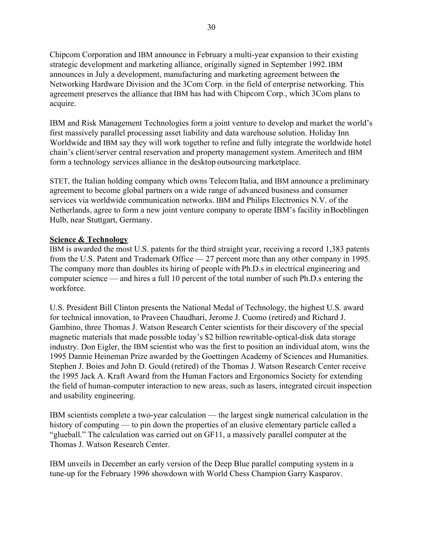Chipcom Corporation and IBM announce in February a multi-year expansion to their existing strategic development and marketing alliance, originally signed in September 1992. IBM announces in July a development, manufacturing and marketing agreement between the Networking Hardware Division and the 3Com Corp. in the field of enterprise networking. This agreement preserves the alliance that IBM has had with Chipcom Corp., which 3Com plans to acquire.

IBM and Risk Management Technologies form a joint venture to develop and market the world's first massively parallel processing asset liability and data warehouse solution. Holiday Inn Worldwide and IBM say they will work together to refine and fully integrate the worldwide hotel chain's client/server central reservation and property management system. Ameritech and IBM form a technology services alliance in the desktop outsourcing marketplace.

STET, the Italian holding company which owns Telecom Italia, and IBM announce a preliminary agreement to become global partners on a wide range of advanced business and consumer services via worldwide communication networks. IBM and Philips Electronics N.V. of the Netherlands, agree to form a new joint venture company to operate IBM's facility in Boeblingen Hulb, near Stuttgart, Germany.

# **Science & Technology**

IBM is awarded the most U.S. patents for the third straight year, receiving a record 1,383 patents from the U.S. Patent and Trademark Office  $-27$  percent more than any other company in 1995. The company more than doubles its hiring of people with Ph.D.s in electrical engineering and computer science  $-$  and hires a full 10 percent of the total number of such Ph.D.s entering the workforce.

U.S. President Bill Clinton presents the National Medal of Technology, the highest U.S. award for technical innovation, to Praveen Chaudhari, Jerome J. Cuomo (retired) and Richard J. Gambino, three Thomas J. Watson Research Center scientists for their discovery of the special magnetic materials that made possible today's \$2 billion rewritable-optical-disk data storage industry. Don Eigler, the IBM scientist who was the first to position an individual atom, wins the 1995 Dannie Heineman Prize awarded by the Goettingen Academy of Sciences and Humanities. Stephen J. Boies and John D. Gould (retired) of the Thomas J. Watson Research Center receive the 1995 Jack A. Kraft Award from the Human Factors and Ergonomics Society for extending the field of human-computer interaction to new areas, such as lasers, integrated circuit inspection and usability engineering.

IBM scientists complete a two-year calculation — the largest single numerical calculation in the history of computing  $\sim$  to pin down the properties of an elusive elementary particle called a ìglueball.î The calculation was carried out on GF11, a massively parallel computer at the Thomas J. Watson Research Center.

IBM unveils in December an early version of the Deep Blue parallel computing system in a tune-up for the February 1996 showdown with World Chess Champion Garry Kasparov.